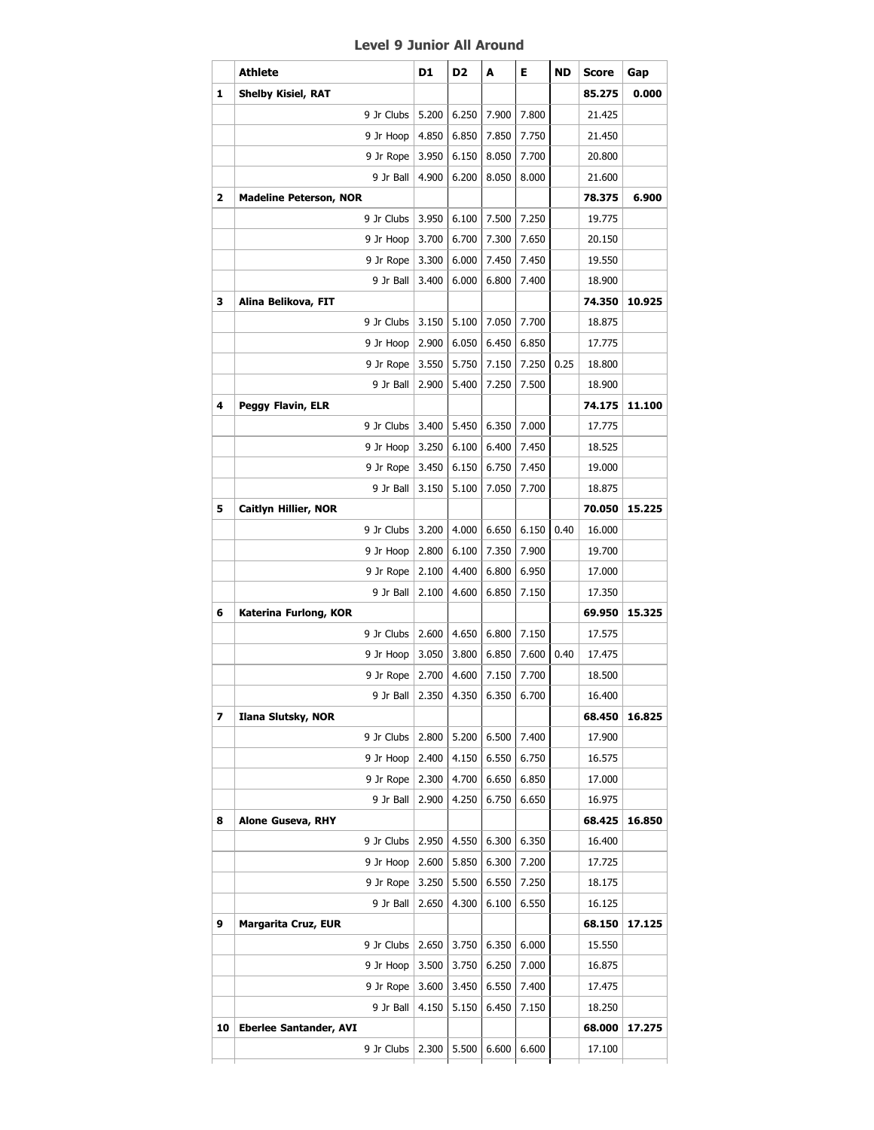## **Level 9 Junior All Around**

|    | <b>Athlete</b>                | D1    | D <sub>2</sub>        | A     | Е.    | ND   | <b>Score</b> | Gap    |
|----|-------------------------------|-------|-----------------------|-------|-------|------|--------------|--------|
| 1  | <b>Shelby Kisiel, RAT</b>     |       |                       |       |       |      | 85.275       | 0.000  |
|    | 9 Jr Clubs                    | 5.200 | 6.250                 | 7.900 | 7.800 |      | 21.425       |        |
|    | 9 Jr Hoop                     | 4.850 | 6.850                 | 7.850 | 7.750 |      | 21.450       |        |
|    | 9 Jr Rope   3.950             |       | 6.150                 | 8.050 | 7.700 |      | 20.800       |        |
|    | 9 Jr Ball                     | 4.900 | 6.200                 | 8.050 | 8.000 |      | 21.600       |        |
| 2  | <b>Madeline Peterson, NOR</b> |       |                       |       |       |      | 78.375       | 6.900  |
|    | 9 Jr Clubs 3.950              |       | 6.100                 | 7.500 | 7.250 |      | 19.775       |        |
|    | 9 Jr Hoop                     | 3.700 | 6.700                 | 7.300 | 7.650 |      | 20.150       |        |
|    | 9 Jr Rope   3.300             |       | 6.000                 | 7.450 | 7.450 |      | 19.550       |        |
|    | 9 Jr Ball                     | 3.400 | 6.000                 | 6.800 | 7.400 |      | 18.900       |        |
| з  | Alina Belikova, FIT           |       |                       |       |       |      | 74.350       | 10.925 |
|    | 9 Jr Clubs   3.150            |       | 5.100                 | 7.050 | 7.700 |      | 18.875       |        |
|    | 9 Jr Hoop                     | 2.900 | 6.050                 | 6.450 | 6.850 |      | 17.775       |        |
|    | 9 Jr Rope   3.550             |       | 5.750                 | 7.150 | 7.250 | 0.25 | 18.800       |        |
|    | 9 Jr Ball                     | 2.900 | 5.400                 | 7.250 | 7.500 |      | 18.900       |        |
| 4  | Peggy Flavin, ELR             |       |                       |       |       |      | 74.175       | 11.100 |
|    | 9 Jr Clubs   3.400            |       | 5.450                 | 6.350 | 7.000 |      | 17.775       |        |
|    | 9 Jr Hoop                     | 3.250 | 6.100                 | 6.400 | 7.450 |      | 18.525       |        |
|    | 9 Jr Rope $ $                 | 3.450 | 6.150                 | 6.750 | 7.450 |      | 19.000       |        |
|    | 9 Jr Ball                     | 3.150 | 5.100                 | 7.050 | 7.700 |      | 18.875       |        |
| 5  | <b>Caitlyn Hillier, NOR</b>   |       |                       |       |       |      | 70.050       | 15.225 |
|    | 9 Jr Clubs                    | 3.200 | 4.000                 | 6.650 | 6.150 | 0.40 | 16.000       |        |
|    | 9 Jr Hoop                     | 2.800 | 6.100                 | 7.350 | 7.900 |      | 19.700       |        |
|    | 9 Jr Rope $ $                 | 2.100 | 4.400                 | 6.800 | 6.950 |      | 17.000       |        |
|    | 9 Jr Ball                     | 2.100 | 4.600                 | 6.850 | 7.150 |      | 17.350       |        |
| 6  | Katerina Furlong, KOR         |       |                       |       |       |      | 69.950       | 15.325 |
|    | 9 Jr Clubs   2.600            |       | 4.650                 | 6.800 | 7.150 |      | 17.575       |        |
|    | 9 Jr Hoop                     | 3.050 | 3.800                 | 6.850 | 7.600 | 0.40 | 17.475       |        |
|    | 9 Jr Rope   2.700             |       | 4.600                 | 7.150 | 7.700 |      | 18.500       |        |
|    |                               |       | 9 Jr Ball 2.350 4.350 | 6.350 | 6.700 |      | 16.400       |        |
| 7  | Ilana Slutsky, NOR            |       |                       |       |       |      | 68.450       | 16.825 |
|    | 9 Jr Clubs                    | 2.800 | 5.200                 | 6.500 | 7.400 |      | 17.900       |        |
|    | 9 Jr Hoop                     | 2.400 | 4.150                 | 6.550 | 6.750 |      | 16.575       |        |
|    | 9 Jr Rope                     | 2.300 | 4.700                 | 6.650 | 6.850 |      | 17.000       |        |
|    | 9 Jr Ball                     | 2.900 | 4.250                 | 6.750 | 6.650 |      | 16.975       |        |
| 8  | <b>Alone Guseva, RHY</b>      |       |                       |       |       |      | 68.425       | 16.850 |
|    | 9 Jr Clubs                    | 2.950 | 4.550                 | 6.300 | 6.350 |      | 16.400       |        |
|    | 9 Jr Hoop                     | 2.600 | 5.850                 | 6.300 | 7.200 |      | 17.725       |        |
|    | 9 Jr Rope                     | 3.250 | 5.500                 | 6.550 | 7.250 |      | 18.175       |        |
|    | 9 Jr Ball                     | 2.650 | 4.300                 | 6.100 | 6.550 |      | 16.125       |        |
| 9  | <b>Margarita Cruz, EUR</b>    |       |                       |       |       |      | 68.150       | 17.125 |
|    | 9 Jr Clubs                    | 2.650 | 3.750                 | 6.350 | 6.000 |      | 15.550       |        |
|    | 9 Jr Hoop                     | 3.500 | 3.750                 | 6.250 | 7.000 |      | 16.875       |        |
|    | 9 Jr Rope $ $                 | 3.600 | 3.450                 | 6.550 | 7.400 |      | 17.475       |        |
|    | 9 Jr Ball                     | 4.150 | 5.150                 | 6.450 | 7.150 |      | 18.250       |        |
| 10 | <b>Eberlee Santander, AVI</b> |       |                       |       |       |      | 68.000       | 17.275 |
|    |                               |       |                       |       |       |      |              |        |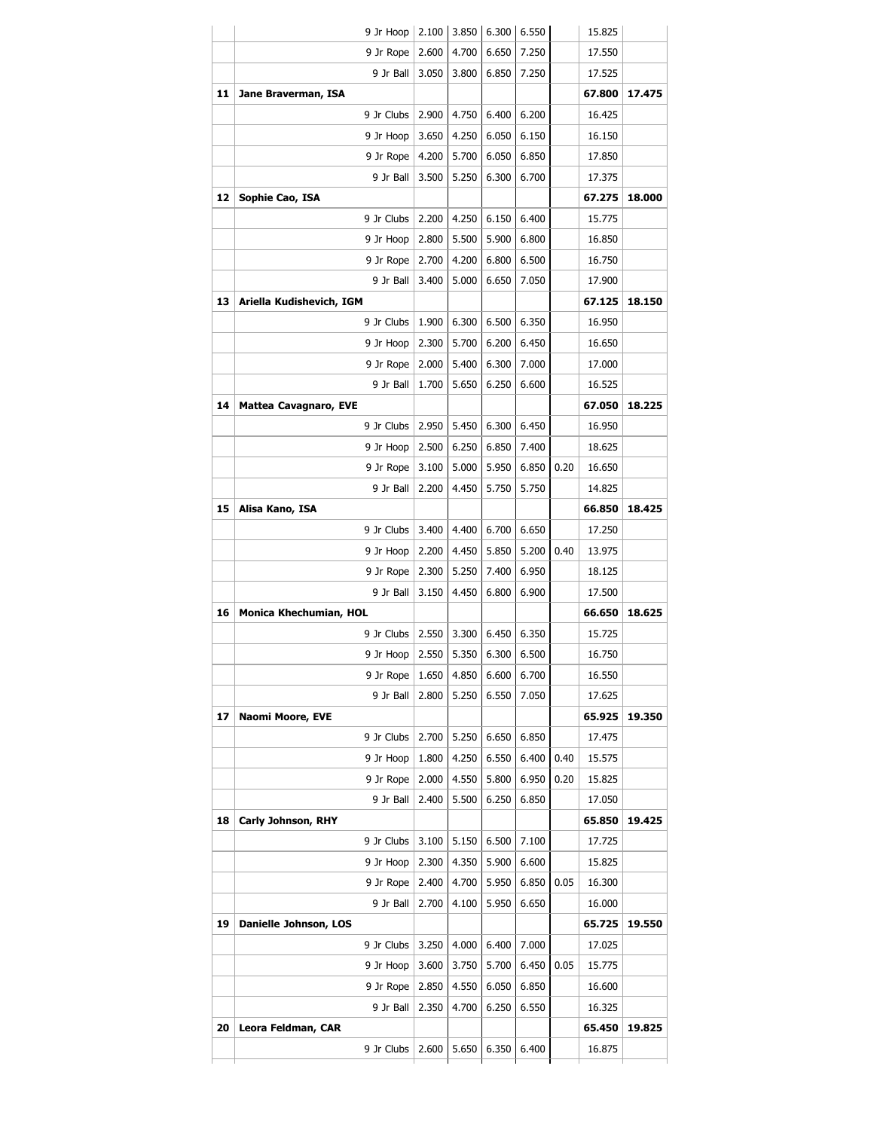|          | 9 Jr Hoop                    | 2.100 | 3.850 | 6.300 | 6.550 |      | 15.825 |                  |
|----------|------------------------------|-------|-------|-------|-------|------|--------|------------------|
|          | 9 Jr Rope                    | 2.600 | 4.700 | 6.650 | 7.250 |      | 17.550 |                  |
|          | 9 Jr Ball                    | 3.050 | 3.800 | 6.850 | 7.250 |      | 17.525 |                  |
| 11       | Jane Braverman, ISA          |       |       |       |       |      | 67.800 | 17.475           |
|          | 9 Jr Clubs                   | 2.900 | 4.750 | 6.400 | 6.200 |      | 16.425 |                  |
|          | 9 Jr Hoop                    | 3.650 | 4.250 | 6.050 | 6.150 |      | 16.150 |                  |
|          | 9 Jr Rope                    | 4.200 | 5.700 | 6.050 | 6.850 |      | 17.850 |                  |
|          | 9 Jr Ball                    | 3.500 | 5.250 | 6.300 | 6.700 |      | 17.375 |                  |
| 12       | Sophie Cao, ISA              |       |       |       |       |      | 67.275 | 18.000           |
|          | 9 Jr Clubs                   | 2.200 | 4.250 | 6.150 | 6.400 |      | 15.775 |                  |
|          | 9 Jr Hoop                    | 2.800 | 5.500 | 5.900 | 6.800 |      | 16.850 |                  |
|          | 9 Jr Rope                    | 2.700 | 4.200 | 6.800 | 6.500 |      | 16.750 |                  |
|          | 9 Jr Ball                    | 3.400 | 5.000 | 6.650 | 7.050 |      | 17.900 |                  |
| 13       | Ariella Kudishevich, IGM     |       |       |       |       |      | 67.125 | 18.150           |
|          | 9 Jr Clubs                   | 1.900 | 6.300 | 6.500 | 6.350 |      | 16.950 |                  |
|          | 9 Jr Hoop                    | 2.300 | 5.700 | 6.200 | 6.450 |      | 16.650 |                  |
|          | 9 Jr Rope                    | 2.000 | 5.400 | 6.300 | 7.000 |      | 17.000 |                  |
|          | 9 Jr Ball                    | 1.700 | 5.650 | 6.250 | 6.600 |      | 16.525 |                  |
| 14       | <b>Mattea Cavagnaro, EVE</b> |       |       |       |       |      | 67.050 | 18.225           |
|          | 9 Jr Clubs                   | 2.950 | 5.450 | 6.300 | 6.450 |      | 16.950 |                  |
|          | 9 Jr Hoop                    | 2.500 | 6.250 | 6.850 | 7.400 |      | 18.625 |                  |
|          | 9 Jr Rope                    | 3.100 | 5.000 | 5.950 | 6.850 | 0.20 | 16.650 |                  |
|          | 9 Jr Ball                    | 2.200 | 4.450 | 5.750 | 5.750 |      | 14.825 |                  |
| 15       | Alisa Kano, ISA              |       |       |       |       |      | 66.850 | 18.425           |
|          | 9 Jr Clubs                   | 3.400 | 4.400 | 6.700 | 6.650 |      | 17.250 |                  |
|          | 9 Jr Hoop                    | 2.200 | 4.450 | 5.850 | 5.200 | 0.40 | 13.975 |                  |
|          | 9 Jr Rope                    | 2.300 | 5.250 | 7.400 | 6.950 |      | 18.125 |                  |
|          | 9 Jr Ball                    | 3.150 | 4.450 | 6.800 | 6.900 |      | 17.500 |                  |
| 16       | Monica Khechumian, HOL       |       |       |       |       |      | 66.650 | 18.625           |
|          | 9 Jr Clubs                   | 2.550 | 3.300 | 6.450 | 6.350 |      | 15.725 |                  |
|          | 9 Jr Hoop                    | 2.550 | 5.350 | 6.300 | 6.500 |      | 16.750 |                  |
|          | 9 Jr Rope                    | 1.650 | 4.850 | 6.600 | 6.700 |      | 16.550 |                  |
|          | 9 Jr Ball                    | 2.800 | 5.250 | 6.550 | 7.050 |      | 17.625 |                  |
| 17       | Naomi Moore, EVE             |       |       |       |       |      | 65.925 | 19.350           |
|          | 9 Jr Clubs                   | 2.700 | 5.250 | 6.650 | 6.850 |      | 17.475 |                  |
|          | 9 Jr Hoop                    | 1.800 | 4.250 | 6.550 | 6.400 | 0.40 | 15.575 |                  |
|          | 9 Jr Rope                    | 2.000 | 4.550 | 5.800 | 6.950 | 0.20 | 15.825 |                  |
|          | 9 Jr Ball                    | 2.400 | 5.500 | 6.250 | 6.850 |      | 17.050 |                  |
| 18       | Carly Johnson, RHY           |       |       |       |       |      | 65.850 | 19.425           |
|          | 9 Jr Clubs                   | 3.100 | 5.150 | 6.500 | 7.100 |      | 17.725 |                  |
|          | 9 Jr Hoop                    | 2.300 | 4.350 | 5.900 | 6.600 |      | 15.825 |                  |
|          |                              |       |       |       |       | 0.05 | 16.300 |                  |
|          | 9 Jr Rope                    | 2.400 | 4.700 | 5.950 | 6.850 |      |        |                  |
|          | 9 Jr Ball                    | 2.700 | 4.100 | 5.950 | 6.650 |      | 16.000 |                  |
|          | Danielle Johnson, LOS        |       |       |       |       |      | 65.725 |                  |
|          | 9 Jr Clubs                   | 3.250 | 4.000 | 6.400 | 7.000 |      | 17.025 |                  |
|          | 9 Jr Hoop                    | 3.600 | 3.750 | 5.700 | 6.450 | 0.05 | 15.775 |                  |
|          | 9 Jr Rope                    | 2.850 | 4.550 | 6.050 | 6.850 |      | 16.600 |                  |
|          | 9 Jr Ball                    | 2.350 | 4.700 | 6.250 | 6.550 |      | 16.325 |                  |
| 19<br>20 | Leora Feldman, CAR           |       |       |       |       |      | 65.450 | 19.550<br>19.825 |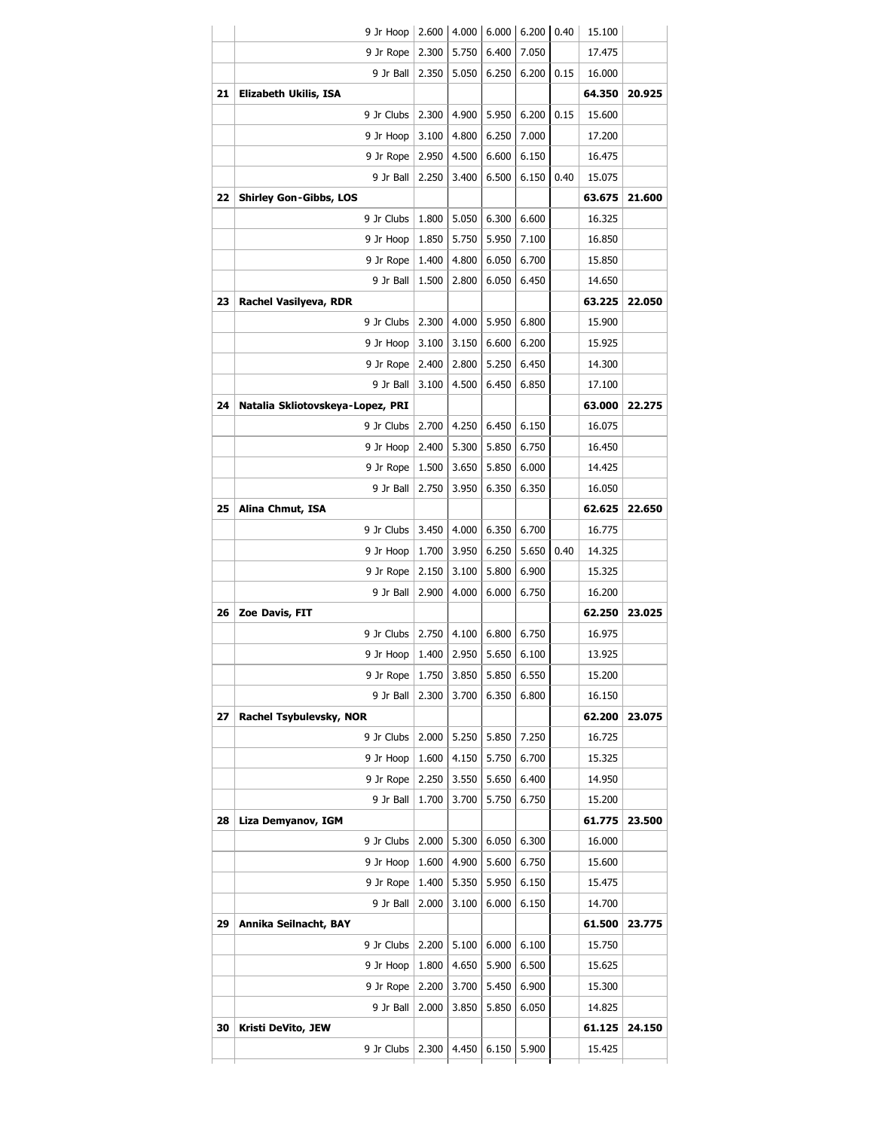|    | 9 Jr Hoop                        | 2.600 | 4.000 | 6.000 | 6.200 | 0.40 | 15.100 |                  |
|----|----------------------------------|-------|-------|-------|-------|------|--------|------------------|
|    | 9 Jr Rope                        | 2.300 | 5.750 | 6.400 | 7.050 |      | 17.475 |                  |
|    | 9 Jr Ball                        | 2.350 | 5.050 | 6.250 | 6.200 | 0.15 | 16.000 |                  |
| 21 | Elizabeth Ukilis, ISA            |       |       |       |       |      | 64.350 | 20.925           |
|    | 9 Jr Clubs                       | 2.300 | 4.900 | 5.950 | 6.200 | 0.15 | 15.600 |                  |
|    | 9 Jr Hoop                        | 3.100 | 4.800 | 6.250 | 7.000 |      | 17.200 |                  |
|    | 9 Jr Rope                        | 2.950 | 4.500 | 6.600 | 6.150 |      | 16.475 |                  |
|    | 9 Jr Ball                        | 2.250 | 3.400 | 6.500 | 6.150 | 0.40 | 15.075 |                  |
| 22 | <b>Shirley Gon-Gibbs, LOS</b>    |       |       |       |       |      | 63.675 | 21.600           |
|    | 9 Jr Clubs                       | 1.800 | 5.050 | 6.300 | 6.600 |      | 16.325 |                  |
|    | 9 Jr Hoop                        | 1.850 | 5.750 | 5.950 | 7.100 |      | 16.850 |                  |
|    | 9 Jr Rope                        | 1.400 | 4.800 | 6.050 | 6.700 |      | 15.850 |                  |
|    | 9 Jr Ball                        | 1.500 | 2.800 | 6.050 | 6.450 |      | 14.650 |                  |
| 23 | Rachel Vasilyeva, RDR            |       |       |       |       |      | 63.225 | 22.050           |
|    | 9 Jr Clubs                       | 2.300 | 4.000 | 5.950 | 6.800 |      | 15.900 |                  |
|    | 9 Jr Hoop                        | 3.100 | 3.150 | 6.600 | 6.200 |      | 15.925 |                  |
|    | 9 Jr Rope                        | 2.400 | 2.800 | 5.250 | 6.450 |      | 14.300 |                  |
|    | 9 Jr Ball                        | 3.100 | 4.500 | 6.450 | 6.850 |      | 17.100 |                  |
| 24 | Natalia Skliotovskeya-Lopez, PRI |       |       |       |       |      | 63.000 | 22.275           |
|    | 9 Jr Clubs                       | 2.700 | 4.250 | 6.450 | 6.150 |      | 16.075 |                  |
|    | 9 Jr Hoop                        | 2.400 | 5.300 | 5.850 | 6.750 |      | 16.450 |                  |
|    | 9 Jr Rope                        | 1.500 | 3.650 | 5.850 | 6.000 |      | 14.425 |                  |
|    | 9 Jr Ball                        | 2.750 | 3.950 | 6.350 | 6.350 |      | 16.050 |                  |
| 25 |                                  |       |       |       |       |      | 62.625 | 22.650           |
|    | Alina Chmut, ISA                 |       |       |       |       |      |        |                  |
|    | 9 Jr Clubs                       | 3.450 | 4.000 | 6.350 | 6.700 | 0.40 | 16.775 |                  |
|    | 9 Jr Hoop                        | 1.700 | 3.950 | 6.250 | 5.650 |      | 14.325 |                  |
|    | 9 Jr Rope                        | 2.150 | 3.100 | 5.800 | 6.900 |      | 15.325 |                  |
|    | 9 Jr Ball                        | 2.900 | 4.000 | 6.000 | 6.750 |      | 16.200 |                  |
| 26 | Zoe Davis, FIT                   |       |       |       |       |      | 62.250 | 23.025           |
|    | 9 Jr Clubs                       | 2.750 | 4.100 | 6.800 | 6.750 |      | 16.975 |                  |
|    | 9 Jr Hoop                        | 1.400 | 2.950 | 5.650 | 6.100 |      | 13.925 |                  |
|    | 9 Jr Rope                        | 1.750 | 3.850 | 5.850 | 6.550 |      | 15.200 |                  |
|    | 9 Jr Ball                        | 2.300 | 3.700 | 6.350 | 6.800 |      | 16.150 |                  |
| 27 | Rachel Tsybulevsky, NOR          |       |       |       |       |      | 62.200 | 23.075           |
|    | 9 Jr Clubs                       | 2.000 | 5.250 | 5.850 | 7.250 |      | 16.725 |                  |
|    | 9 Jr Hoop                        | 1.600 | 4.150 | 5.750 | 6.700 |      | 15.325 |                  |
|    | 9 Jr Rope                        | 2.250 | 3.550 | 5.650 | 6.400 |      | 14.950 |                  |
|    | 9 Jr Ball                        | 1.700 | 3.700 | 5.750 | 6.750 |      | 15.200 |                  |
| 28 | Liza Demyanov, IGM               |       |       |       |       |      | 61.775 | 23.500           |
|    | 9 Jr Clubs                       | 2.000 | 5.300 | 6.050 | 6.300 |      | 16.000 |                  |
|    | 9 Jr Hoop                        | 1.600 | 4.900 | 5.600 | 6.750 |      | 15.600 |                  |
|    |                                  |       |       |       |       |      |        |                  |
|    | 9 Jr Rope                        | 1.400 | 5.350 | 5.950 | 6.150 |      | 15.475 |                  |
|    | 9 Jr Ball                        | 2.000 | 3.100 | 6.000 | 6.150 |      | 14.700 |                  |
| 29 | Annika Seilnacht, BAY            |       |       |       |       |      | 61.500 |                  |
|    | 9 Jr Clubs                       | 2.200 | 5.100 | 6.000 | 6.100 |      | 15.750 |                  |
|    | 9 Jr Hoop                        | 1.800 | 4.650 | 5.900 | 6.500 |      | 15.625 |                  |
|    | 9 Jr Rope                        | 2.200 | 3.700 | 5.450 | 6.900 |      | 15.300 |                  |
|    | 9 Jr Ball                        | 2.000 | 3.850 | 5.850 | 6.050 |      | 14.825 |                  |
| 30 | Kristi DeVito, JEW               |       |       |       |       |      | 61.125 | 23.775<br>24.150 |